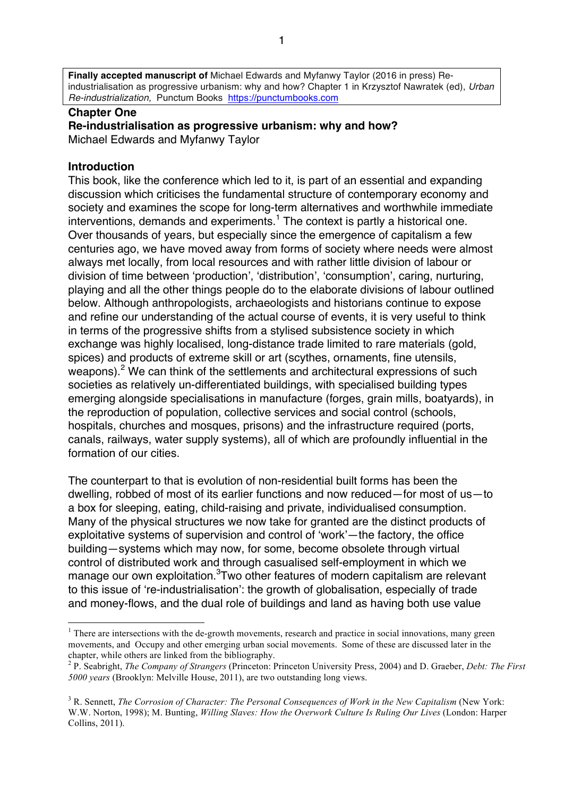**Finally accepted manuscript of** Michael Edwards and Myfanwy Taylor (2016 in press) Reindustrialisation as progressive urbanism: why and how? Chapter 1 in Krzysztof Nawratek (ed), *Urban Re-industrialization,* Punctum Books https://punctumbooks.com

## **Chapter One**

**Re-industrialisation as progressive urbanism: why and how?** Michael Edwards and Myfanwy Taylor

## **Introduction**

This book, like the conference which led to it, is part of an essential and expanding discussion which criticises the fundamental structure of contemporary economy and society and examines the scope for long-term alternatives and worthwhile immediate  $interv$ entions, demands and experiments.<sup>1</sup> The context is partly a historical one. Over thousands of years, but especially since the emergence of capitalism a few centuries ago, we have moved away from forms of society where needs were almost always met locally, from local resources and with rather little division of labour or division of time between 'production', 'distribution', 'consumption', caring, nurturing, playing and all the other things people do to the elaborate divisions of labour outlined below. Although anthropologists, archaeologists and historians continue to expose and refine our understanding of the actual course of events, it is very useful to think in terms of the progressive shifts from a stylised subsistence society in which exchange was highly localised, long-distance trade limited to rare materials (gold, spices) and products of extreme skill or art (scythes, ornaments, fine utensils, weapons).<sup>2</sup> We can think of the settlements and architectural expressions of such societies as relatively un-differentiated buildings, with specialised building types emerging alongside specialisations in manufacture (forges, grain mills, boatyards), in the reproduction of population, collective services and social control (schools, hospitals, churches and mosques, prisons) and the infrastructure required (ports, canals, railways, water supply systems), all of which are profoundly influential in the formation of our cities.

The counterpart to that is evolution of non-residential built forms has been the dwelling, robbed of most of its earlier functions and now reduced—for most of us—to a box for sleeping, eating, child-raising and private, individualised consumption. Many of the physical structures we now take for granted are the distinct products of exploitative systems of supervision and control of 'work'—the factory, the office building—systems which may now, for some, become obsolete through virtual control of distributed work and through casualised self-employment in which we manage our own exploitation.<sup>3</sup>Two other features of modern capitalism are relevant to this issue of 're-industrialisation': the growth of globalisation, especially of trade and money-flows, and the dual role of buildings and land as having both use value

 $<sup>1</sup>$  There are intersections with the de-growth movements, research and practice in social innovations, many green</sup> movements, and Occupy and other emerging urban social movements. Some of these are discussed later in the

<sup>&</sup>lt;sup>2</sup> P. Seabright, *The Company of Strangers* (Princeton: Princeton University Press, 2004) and D. Graeber, *Debt: The First 5000 years* (Brooklyn: Melville House, 2011), are two outstanding long views.

<sup>&</sup>lt;sup>3</sup> R. Sennett, *The Corrosion of Character: The Personal Consequences of Work in the New Capitalism* (New York: W.W. Norton, 1998); M. Bunting, *Willing Slaves: How the Overwork Culture Is Ruling Our Lives* (London: Harper Collins, 2011).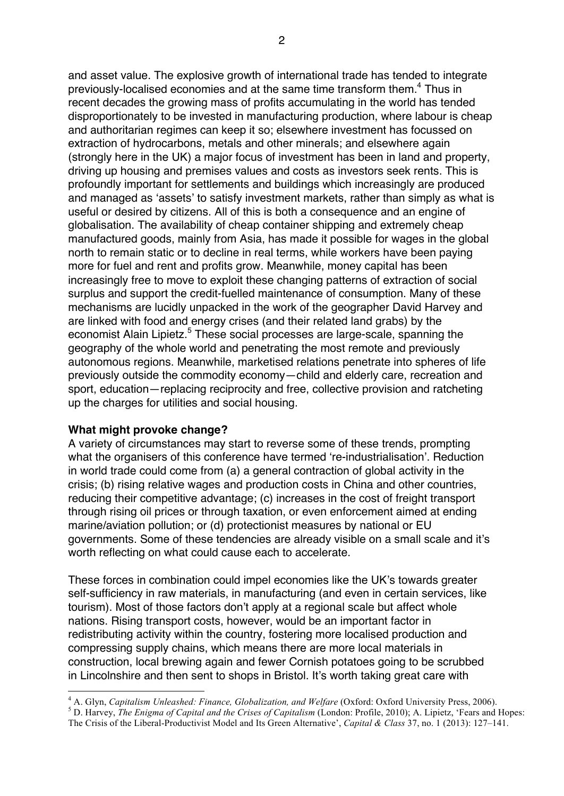and asset value. The explosive growth of international trade has tended to integrate previously-localised economies and at the same time transform them.<sup>4</sup> Thus in recent decades the growing mass of profits accumulating in the world has tended disproportionately to be invested in manufacturing production, where labour is cheap and authoritarian regimes can keep it so; elsewhere investment has focussed on extraction of hydrocarbons, metals and other minerals; and elsewhere again (strongly here in the UK) a major focus of investment has been in land and property, driving up housing and premises values and costs as investors seek rents. This is profoundly important for settlements and buildings which increasingly are produced and managed as 'assets' to satisfy investment markets, rather than simply as what is useful or desired by citizens. All of this is both a consequence and an engine of globalisation. The availability of cheap container shipping and extremely cheap manufactured goods, mainly from Asia, has made it possible for wages in the global north to remain static or to decline in real terms, while workers have been paying more for fuel and rent and profits grow. Meanwhile, money capital has been increasingly free to move to exploit these changing patterns of extraction of social surplus and support the credit-fuelled maintenance of consumption. Many of these mechanisms are lucidly unpacked in the work of the geographer David Harvey and are linked with food and energy crises (and their related land grabs) by the economist Alain Lipietz.<sup>5</sup> These social processes are large-scale, spanning the geography of the whole world and penetrating the most remote and previously autonomous regions. Meanwhile, marketised relations penetrate into spheres of life previously outside the commodity economy—child and elderly care, recreation and sport, education—replacing reciprocity and free, collective provision and ratcheting up the charges for utilities and social housing.

## **What might provoke change?**

A variety of circumstances may start to reverse some of these trends, prompting what the organisers of this conference have termed 're-industrialisation'. Reduction in world trade could come from (a) a general contraction of global activity in the crisis; (b) rising relative wages and production costs in China and other countries, reducing their competitive advantage; (c) increases in the cost of freight transport through rising oil prices or through taxation, or even enforcement aimed at ending marine/aviation pollution; or (d) protectionist measures by national or EU governments. Some of these tendencies are already visible on a small scale and it's worth reflecting on what could cause each to accelerate.

These forces in combination could impel economies like the UK's towards greater self-sufficiency in raw materials, in manufacturing (and even in certain services, like tourism). Most of those factors don't apply at a regional scale but affect whole nations. Rising transport costs, however, would be an important factor in redistributing activity within the country, fostering more localised production and compressing supply chains, which means there are more local materials in construction, local brewing again and fewer Cornish potatoes going to be scrubbed in Lincolnshire and then sent to shops in Bristol. It's worth taking great care with

<sup>&</sup>lt;sup>4</sup> A. Glyn, *Capitalism Unleashed: Finance, Globalization, and Welfare* (Oxford: Oxford University Press, 2006).<br><sup>5</sup> D. Harvey, *The Enigma of Capital and the Crises of Capitalism* (London: Profile, 2010); A. Lipietz, 'F The Crisis of the Liberal-Productivist Model and Its Green Alternative', *Capital & Class* 37, no. 1 (2013): 127–141.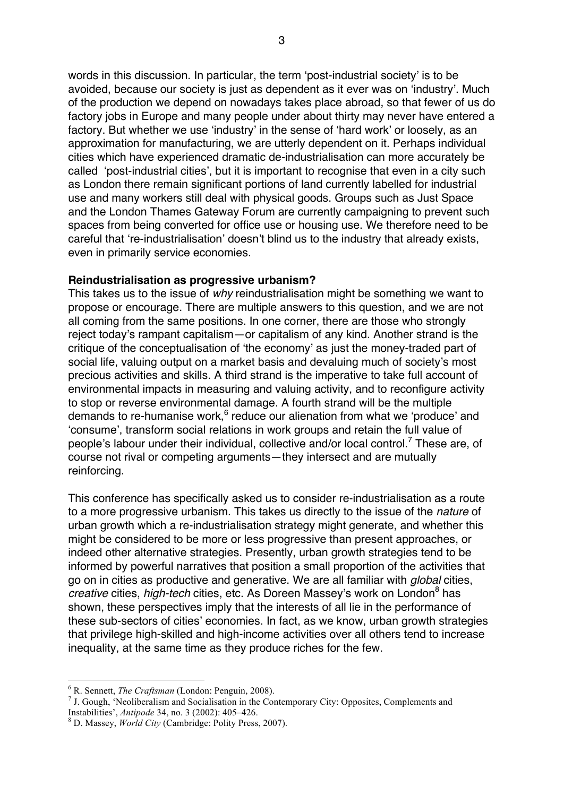words in this discussion. In particular, the term 'post-industrial society' is to be avoided, because our society is just as dependent as it ever was on 'industry'. Much of the production we depend on nowadays takes place abroad, so that fewer of us do factory jobs in Europe and many people under about thirty may never have entered a factory. But whether we use 'industry' in the sense of 'hard work' or loosely, as an approximation for manufacturing, we are utterly dependent on it. Perhaps individual cities which have experienced dramatic de-industrialisation can more accurately be called 'post-industrial cities', but it is important to recognise that even in a city such as London there remain significant portions of land currently labelled for industrial use and many workers still deal with physical goods. Groups such as Just Space and the London Thames Gateway Forum are currently campaigning to prevent such spaces from being converted for office use or housing use. We therefore need to be careful that 're-industrialisation' doesn't blind us to the industry that already exists, even in primarily service economies.

## **Reindustrialisation as progressive urbanism?**

This takes us to the issue of *why* reindustrialisation might be something we want to propose or encourage. There are multiple answers to this question, and we are not all coming from the same positions. In one corner, there are those who strongly reject today's rampant capitalism—or capitalism of any kind. Another strand is the critique of the conceptualisation of 'the economy' as just the money-traded part of social life, valuing output on a market basis and devaluing much of society's most precious activities and skills. A third strand is the imperative to take full account of environmental impacts in measuring and valuing activity, and to reconfigure activity to stop or reverse environmental damage. A fourth strand will be the multiple demands to re-humanise work,  $6$  reduce our alienation from what we 'produce' and 'consume', transform social relations in work groups and retain the full value of people's labour under their individual, collective and/or local control.<sup>7</sup> These are, of course not rival or competing arguments—they intersect and are mutually reinforcing.

This conference has specifically asked us to consider re-industrialisation as a route to a more progressive urbanism. This takes us directly to the issue of the *nature* of urban growth which a re-industrialisation strategy might generate, and whether this might be considered to be more or less progressive than present approaches, or indeed other alternative strategies. Presently, urban growth strategies tend to be informed by powerful narratives that position a small proportion of the activities that go on in cities as productive and generative. We are all familiar with *global* cities, *creative* cities, *high-tech* cities, etc. As Doreen Massey's work on London<sup>8</sup> has shown, these perspectives imply that the interests of all lie in the performance of these sub-sectors of cities' economies. In fact, as we know, urban growth strategies that privilege high-skilled and high-income activities over all others tend to increase inequality, at the same time as they produce riches for the few.

 $^6$  R. Sennett, *The Craftsman* (London: Penguin, 2008).<br><sup>7</sup> J. Gough, 'Neoliberalism and Socialisation in the Contemporary City: Opposites, Complements and Instabilities', *Antipode* 34, no. 3 (2002): 405–426. <sup>8</sup> D. Massey, *World City* (Cambridge: Polity Press, 2007).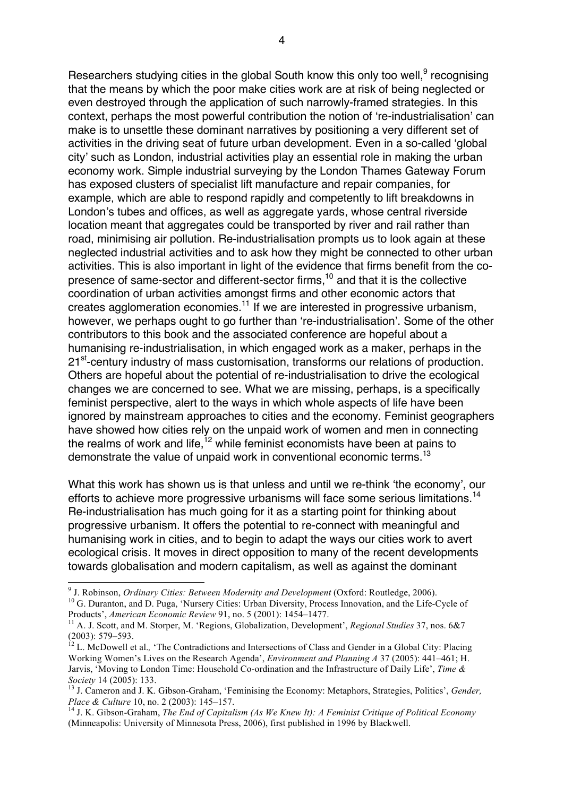Researchers studying cities in the global South know this only too well,<sup>9</sup> recognising that the means by which the poor make cities work are at risk of being neglected or even destroyed through the application of such narrowly-framed strategies. In this context, perhaps the most powerful contribution the notion of 're-industrialisation' can make is to unsettle these dominant narratives by positioning a very different set of activities in the driving seat of future urban development. Even in a so-called 'global city' such as London, industrial activities play an essential role in making the urban economy work. Simple industrial surveying by the London Thames Gateway Forum has exposed clusters of specialist lift manufacture and repair companies, for example, which are able to respond rapidly and competently to lift breakdowns in London's tubes and offices, as well as aggregate yards, whose central riverside location meant that aggregates could be transported by river and rail rather than road, minimising air pollution. Re-industrialisation prompts us to look again at these neglected industrial activities and to ask how they might be connected to other urban activities. This is also important in light of the evidence that firms benefit from the copresence of same-sector and different-sector firms,<sup>10</sup> and that it is the collective coordination of urban activities amongst firms and other economic actors that creates agglomeration economies.<sup>11</sup> If we are interested in progressive urbanism, however, we perhaps ought to go further than 're-industrialisation'. Some of the other contributors to this book and the associated conference are hopeful about a humanising re-industrialisation, in which engaged work as a maker, perhaps in the 21<sup>st</sup>-century industry of mass customisation, transforms our relations of production. Others are hopeful about the potential of re-industrialisation to drive the ecological changes we are concerned to see. What we are missing, perhaps, is a specifically feminist perspective, alert to the ways in which whole aspects of life have been ignored by mainstream approaches to cities and the economy. Feminist geographers have showed how cities rely on the unpaid work of women and men in connecting the realms of work and life,<sup>12</sup> while feminist economists have been at pains to demonstrate the value of unpaid work in conventional economic terms.<sup>13</sup>

What this work has shown us is that unless and until we re-think 'the economy', our efforts to achieve more progressive urbanisms will face some serious limitations.<sup>14</sup> Re-industrialisation has much going for it as a starting point for thinking about progressive urbanism. It offers the potential to re-connect with meaningful and humanising work in cities, and to begin to adapt the ways our cities work to avert ecological crisis. It moves in direct opposition to many of the recent developments towards globalisation and modern capitalism, as well as against the dominant

<sup>&</sup>lt;sup>9</sup> J. Robinson, *Ordinary Cities: Between Modernity and Development* (Oxford: Routledge, 2006).<br><sup>10</sup> G. Duranton, and D. Puga, 'Nursery Cities: Urban Diversity, Process Innovation, and the Life-Cycle of

Products', *American Economic Review* 91, no. 5 (2001): 1454–1477.<br><sup>11</sup> A. J. Scott, and M. Storper, M. 'Regions, Globalization, Development', *Regional Studies* 37, nos. 6&7

<sup>(2003): 579–593.&</sup>lt;br><sup>12</sup> L. McDowell et al., 'The Contradictions and Intersections of Class and Gender in a Global City: Placing Working Women's Lives on the Research Agenda', *Environment and Planning A* 37 (2005): 441–461; H. Jarvis, 'Moving to London Time: Household Co-ordination and the Infrastructure of Daily Life', *Time &* 

<sup>&</sup>lt;sup>13</sup> J. Cameron and J. K. Gibson-Graham, 'Feminising the Economy: Metaphors, Strategies, Politics', *Gender*, *Place & Culture* 10, no. 2 (2003): 145–157.<br><sup>14</sup> J. K. Gibson-Graham, *The End of Capitalism (As We Knew It): A Feminist Critique of Political Economy* 

<sup>(</sup>Minneapolis: University of Minnesota Press, 2006), first published in 1996 by Blackwell.